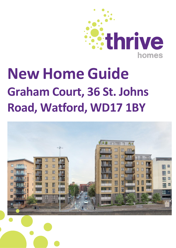

## **New Home Guide Graham Court, 36 St. Johns Road, Watford, WD17 1BY**

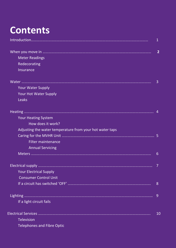## **Contents**

|                                                          | 2  |
|----------------------------------------------------------|----|
| <b>Meter Readings</b>                                    |    |
| Redecorating                                             |    |
| Insurance                                                |    |
|                                                          | 3  |
| <b>Your Water Supply</b>                                 |    |
| <b>Your Hot Water Supply</b>                             |    |
| <b>Leaks</b>                                             |    |
|                                                          |    |
| <b>Your Heating System</b>                               |    |
| How does it work?                                        |    |
| Adjusting the water temperature from your hot water taps |    |
|                                                          | 5  |
| <b>Filter maintenance</b>                                |    |
| <b>Annual Servicing</b>                                  |    |
|                                                          | 6  |
|                                                          |    |
| <b>Your Electrical Supply</b>                            |    |
| <b>Consumer Control Unit</b>                             |    |
|                                                          | 8  |
|                                                          | 9  |
| If a light circuit fails                                 |    |
|                                                          | 10 |
| <b>Television</b>                                        |    |
| <b>Telephones and Fibre Optic</b>                        |    |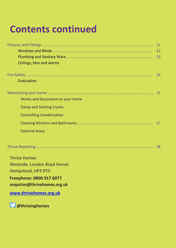## **Contents continued**

|                                   | 12 |
|-----------------------------------|----|
|                                   | 13 |
| Ceilings, fans and alarms         |    |
|                                   |    |
| Evacuation                        |    |
|                                   |    |
| Works and Decoration to your home |    |
| Damp and Settling Cracks          |    |
| <b>Controlling Condensation</b>   |    |
|                                   |    |
| <b>External Areas</b>             |    |
|                                   |    |
| <b>Thrive Homes</b>               |    |
| Westside, London Road Hemel       |    |
| Hempstead, HP3 9TD                |    |
| Freephone: 0800 917 6077          |    |
| enquiries@thrivehomes.org.uk      |    |
| www.thrivehomes.org.uk            |    |

**@thrivinghomes**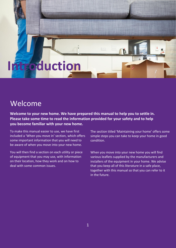## **Introduction**

### Welcome

**Welcome to your new home. We have prepared this manual to help you to settle in. Please take some time to read the information provided for your safety and to help you become familiar with your new home.**

To make this manual easier to use, we have first included a 'When you move in' section, which offers some important information that you will need to be aware of when you move into your new home.

You will then find a section on each utility or piece of equipment that you may use, with information on their location, how they work and on how to deal with some common issues.

The section titled 'Maintaining your home' offers some simple steps you can take to keep your home in good condition.

When you move into your new home you will find various leaflets supplied by the manufacturers and installers of the equipment in your home. We advise that you keep all of this literature in a safe place, together with this manual so that you can refer to it in the future.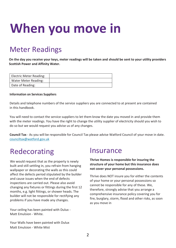# **When you move in**

## Meter Readings

**On the day you receive your keys, meter readings will be taken and should be sent to your utility providers Scottish Power and Affinity Water.**

| <b>Electric Meter Reading:</b> |  |
|--------------------------------|--|
| Water Meter Reading:           |  |
| Date of Reading:               |  |

#### **Information on Services Suppliers**

Details and telephone numbers of the service suppliers you are connected to at present are contained in this handbook.

You will need to contact the service suppliers to let them know the date you moved in and provide them with the meter readings. You have the right to change the utility supplier of electricity should you wish to do so but we would request you advise us of any changes.

**Council Tax** - As you will be responsible for Council Tax please advise Watford Council of your move in date. [counciltax@watford.gov.uk](mailto:counciltax@watford.gov.uk)

## Redecorating

We would request that as the property is newly built and still settling in, you refrain from hanging wallpaper or decorating the walls as this could affect the defects period stipulated by the builder and cause issues when the end of defects inspections are carried out. Please also avoid changing any fixtures or fittings during the first 12 months, e.g. light fittings, or shower heads. The builder will not be responsible for rectifying any problems if you have made any changes.

Your ceiling has been painted with Dulux - Matt Emulsion - White.

Your Walls have been painted with Dulux Matt Emulsion - White Mist

### Insurance

**Thrive Homes is responsible for insuring the structure of your home but this insurance does not cover your personal possessions.**

Thrive does NOT insure you for either the contents of your home or your personal possessions so cannot be responsible for any of these. We, therefore, strongly advise that you arrange a comprehensive insurance policy covering you for fire, burglary, storm, flood and other risks, as soon as you move in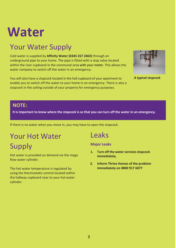## **Water**

## Your Water Supply

Cold water is supplied by **Affinity Water (0345 357 2402)** through an underground pipe to your home. The pipe is fitted with a stop valve located within the riser cupboard in the communal area with your meter. This allows the water company to switch off the water in an emergency.

You will also have a stopcock located in the hall cupboard of your apartment to enable you to switch off the water to your home in an emergency. There is also a stopcock in the ceiling outside of your property for emergency purposes.



*A typical stopcock*

#### **NOTE:**

It is important to know where the stopcock is so that you can turn off the water in an emergency.

If there is no water when you move in, you may have to open the stopcock.

## Your Hot Water Supply

Hot water is provided on demand via the mega flow water cylinder.

The hot water temperature is regulated by using the thermostatic control located within the hallway cupboard near to your hot water cylinder.

### Leaks

**Major Leaks**

- **1. Turn off the water services stopcock immediately.**
- **2. Inform Thrive Homes of the problem immediately on 0800 917 6077**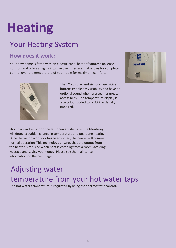# **Heating**

## Your Heating System

### **How does it work?**

Your new home is fitted with an electric panel heater features CapSense controls and offers a highly intuitive user interface that allows for complete control over the temperature of your room for maximum comfort.



The LCD display and six touch-sensitive buttons enable easy usability and have an optional sound when pressed, for greater accessibility. The temperature display is also colour-coded to assist the visually impaired.



Should a window or door be left open accidentally, the Monterey will detect a sudden change in temperature and postpone heating. Once the window or door has been closed, the heater will resume normal operation. This technology ensures that the output from the heater is reduced when heat is escaping from a room, avoiding wastage and saving you money. Please see the maintence information on the next page.

## Adjusting water temperature from your hot water taps

The hot water temperature is regulated by using the thermostatic control.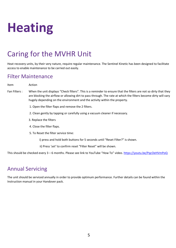## **Heating**

## Caring for the MVHR Unit

Heat recovery units, by their very nature, require regular maintenance. The Sentinel Kinetic has been designed to facilitate access to enable maintenance to be carried out easily.

#### Filter Maintenance

Item Action

- Fan Filters : When the unit displays "Check filters". This is a reminder to ensure that the filters are not so dirty that they are blocking the airflow or allowing dirt to pass through. The rate at which the filters become dirty will vary hugely depending on the environment and the activity within the property.
	- 1. Open the filter flaps and remove the 2 filters.
	- 2. Clean gently by tapping or carefully using a vacuum cleaner if necessary.
	- 3. Replace the filters
	- 4. Close the filter flaps.
	- 5. To Reset the filter service time:
		- i) press and hold both buttons for 5 seconds until "Reset Filter?" is shown.
		- ii) Press '*set'* to confirm reset "Filter Reset" will be shown.

This should be checked every 3 – 6 months. Please see link to YouTube "How To" video. <https://youtu.be/PqcOeHVmPoQ>

### Annual Servicing

The unit should be serviced annually in order to provide optimum performance. Further details can be found within the Instruction manual in your Handover pack.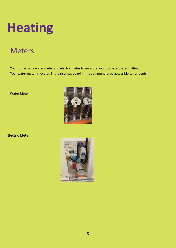## **Heating**

### **Meters**

Your home has a water meter and electric meter to measure your usage of these utilities. Your water meter is located in the riser cupboard in the communal area accessible to residents.

**Water Meter**



**Electric Meter**

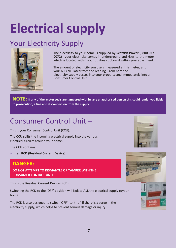# **Electrical supply**

## Your Electricity Supply



The electricity to your home is supplied by **Scottish Power (0800 027 0072)** your electricity comes in underground and rises to the meter which is located within your utilities cupboard within your apartment.

The amount of electricity you use is measured at this meter, and your bill calculated from the reading. From here the electricity supply passes into your property and immediately into a Consumer Control Unit.

**NOTE: If any of the meter seals are tampered with by any unauthorised person this could render you liable to prosecution, a fine and disconnection from the supply.**

## Consumer Control Unit –

This is your Consumer Control Unit (CCU):

The CCU splits the incoming electrical supply into the various electrical circuits around your home.

The CCU contains:

O **an RCD (Residual Current Device)**

#### **DANGER:**

**DO NOT ATTEMPT TO DISMANTLE OR TAMPER WITH THE CONSUMER CONTROL UNIT**

This is the Residual Current Device (RCD).

Switching the RCD to the 'OFF' position will isolate **ALL** the electrical supply toyour home.

The RCD is also designed to switch 'OFF' (to 'trip') if there is a surge in the electricity supply, which helps to prevent serious damage or injury.



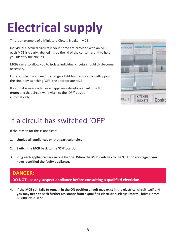# **Electrical supply**

This is an example of a Miniature Circuit Breaker (MCB).

Individual electrical circuits in your home are provided with an MCB; each MCB is clearly labelled inside the lid of the consumerunit to help you identify the circuits.

MCBs can also allow you to isolate individual circuits should thisbecome necessary.

For example, if you need to change a light bulb, you can avoidtripping the circuit by switching 'OFF' the appropriate MCB.

If a circuit is overloaded or an appliance develops a fault, theMCB protecting that circuit will switch to the 'OFF' position automatically.



## If a circuit has switched 'OFF'

If the reason for this is not clear:

- **1. Unplug all appliances on that particular circuit.**
- **2. Switch the MCB back to the 'ON' position.**
- **3. Plug each appliance back in one by one. When the MCB switches to the 'OFF' positionagain you have identified the faulty appliance.**

#### **DANGER:**

**DO NOT use any suspect appliance before consulting a qualified elecrician.**

**4. If the MCB still fails to remain in the ON position a fault may exist in the electrical circuititself and you may need to seek further assistance from a qualified electrician. Please inform Thrive Homes on 0800 917 6077**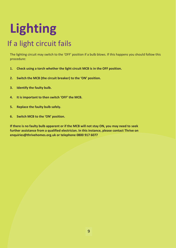# **Lighting**

## If a light circuit fails

The lighting circuit may switch to the 'OFF' position if a bulb blows. If this happens you should follow this procedure:

- **1. Check using a torch whether the light circuit MCB is in the OFF position.**
- **2. Switch the MCB (the circuit breaker) to the 'ON' position.**
- **3. Identify the faulty bulb.**
- **4. It is important to then switch 'OFF' the MCB.**
- **5. Replace the faulty bulb safely.**
- **6. Switch MCB to the 'ON' position.**

**If there is no faulty bulb apparent or if the MCB will not stay ON, you may need to seek further assistance from a qualified electrician. In this instance, please contact Thrive on [enquiries@thrivehomes.org.uk](mailto:enquiries@thrivehomes.org.uk) or telephone 0800 917 6077**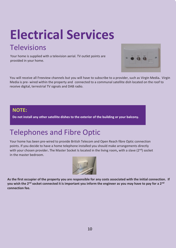# **Electrical Services**

### **Televisions**

Your home is supplied with a television aerial. TV outlet points are provided in your home.



You will receive all Freeview channels but you will have to subscribe to a provider, such as Virgin Media**.** Virgin Media is pre- wired within the property and connected to a communal satellite dish located on the roof to receive digital, terrestrial TV signals and DAB radio.

#### **NOTE:**

**Do not install any other satellite dishes to the exterior of the building or your balcony.**

## Telephones and Fibre Optic

Your home has been pre-wired to provide British Telecom and Open Reach fibre Optic connection points. If you decide to have a home telephone installed you should make arrangements directly with your chosen provider**.** The Master Socket Is located in the living room**,** with a slave (2nd) socket in the master bedroom.



**As the first occupier of the property you are responsible for any costs associated with the initial connection. If you wish the 2nd socket connected it is important you inform the engineer as you may have to pay for a 2nd connection fee.**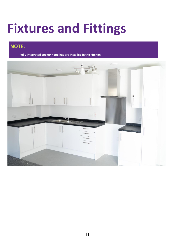## **Fixtures and Fittings**

### **NOTE:**

**Fully integrated cooker hood has are installed in the kitchen.**

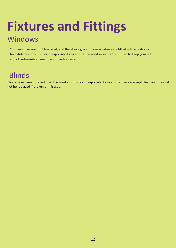## **Fixtures and Fittings** Windows

Your windows are double-glazed, and the above ground floor windows are fitted with a restrictor for safety reasons. It is your responsibility to ensure the window restrictor is used to keep yourself and otherhousehold members or visitors safe.

## **Blinds**

Blinds have been installed in all the windows. It is your responsibility to ensure these are kept clean and they will not be replaced if broken or misused.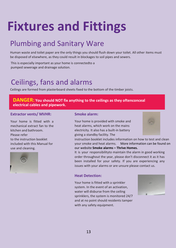# **Fixtures and Fittings**

## Plumbing and Sanitary Ware

Human waste and toilet paper are the only things you should flush down your toilet. All other items must be disposed of elsewhere, as they could result in blockages to soil pipes and sewers.

This is especially important as your home is connectedto a pumped sewerage and drainage solution.

## Ceilings, fans and alarms

Ceilings are formed from plasterboard sheets fixed to the bottom of the timber joists.

#### **DANGER: You should NOT fix anything to the ceilings as they oftenconceal electrical cables and pipework.**

#### **Extractor vents/ MVHR:**

Your home is fitted with a mechanical extract fan to the kitchen and bathroom. Please refer to the instruction booklet included with this Manual for use and cleaning.



#### **Smoke alarm:**

Your home is provided with smoke and heat alarms, which work on the mains electricity. It also has a built-in battery giving a standby facility. The

instruction booklet includes information on how to test and clean your smoke and heat alarms. More information can be found on our website **Smoke alarms – Thrive Homes.**

It is your responsibilityto maintain the alarm in good working order throughout the year, please don't disconnect it as it has been installed for your safety. If you are experiencing any issues with your alarms or are unsure please contact us.

#### **Heat Detection:**

Your home is fitted with a sprinkler system. In the event of an activation, water will disburse from the ceiling sprinklers, the system is monitored 24/7 and at no point should residents tamper with any safety equipment.

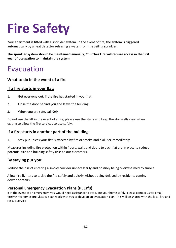# **Fire Safety**

Your apartment is fitted with a sprinkler system. In the event of fire, the system is triggered automatically by a heat detector releasing a water from the ceiling sprinkler.

**The sprinkler system should be maintained annually, Churches Fire will require access in the first year of occupation to maintain the system.**

### Evacuation

#### **What to do in the event of a fire**

#### **If a fire starts in your flat:**

- 1. Get everyone out, if the fire has started in your flat.
- 2. Close the door behind you and leave the building.
- 3. When you are safe, call 999.

Do not use the lift in the event of a fire, please use the stairs and keep the stairwells clear when exiting to allow the fire services to use safely.

#### **If a fire starts in another part of the building:**

1. Stay put unless your flat is affected by fire or smoke and dial 999 immediately.

Measures including fire protection within floors, walls and doors to each flat are in place to reduce potential fire and building safety risks to our customers.

#### **By staying put you:**

Reduce the risk of entering a smoky corridor unnecessarily and possibly being overwhelmed by smoke.

Allow fire fighters to tackle the fire safely and quickly without being delayed by residents coming down the stairs.

#### **Personal Emergency Evacuation Plans (PEEP's)**

If in the event of an emergency, you would need assistance to evacuate your home safely, please contact us via email fire@thrivehomes.org.uk so we can work with you to develop an evacuation plan. This will be shared with the local fire and rescue service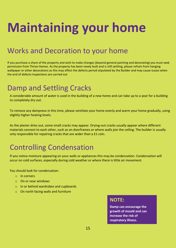# **Maintaining your home**

## Works and Decoration to your home

If you purchase a share of the property and wish to make changes (beyond general painting and decorating) you must seek permission from Thrive Homes. As the property has been newly built and is still settling, please refrain from hanging wallpaper or other decorations as this may affect the defects period stipulated by the Builder and may cause issues when the end of defects inspections are carried out

### Damp and Settling Cracks

A considerable amount of water is used in the building of a new home and can take up to a year for a building to completely dry out.

To remove any dampness in this time, please ventilate your home evenly and warm your home gradually, using slightly higher heating levels.

As the plaster dries out, some small cracks may appear. Drying-out cracks usually appear where different materials connect to each other, such as on doorframes or where walls join the ceiling. The builder is usually only responsible for repairing cracks that are wider than a £1 coin.

### Controlling Condensation

If you notice moisture appearing on your walls or appliances this may be condensation. Condensation will occur on cold surfaces, especially during cold weather or where there is little air movement.

You should look for condensation:

- o In corners
- o On or near windows
- o In or behind wardrobes and cupboards
- o On north facing walls and furniture

#### **NOTE:**

**Damp can encourage the growth of mould and can increase the risk of respiratory illness.**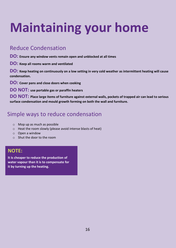# **Maintaining your home**

### Reduce Condensation

**DO: Ensure any window vents remain open and unblocked at all times**

**DO: Keep all rooms warm and ventilated**

**DO: Keep heating on continuously on a low setting in very cold weather as intermittent heating will cause condensation.**

**DO: Cover pans and close doors when cooking**

**DO NOT: use portable gas or paraffin heaters**

**DO NOT: Place large items of furniture against external walls, pockets of trapped air can lead to serious surface condensation and mould growth forming on both the wall and furniture.**

### Simple ways to reduce condensation

- o Mop up as much as possible
- o Heat the room slowly (please avoid intense blasts of heat)
- o Open a window
- o Shut the door to the room

#### **NOTE:**

**It is cheaper to reduce the production of water vapour than it is to compensate for it by turning up the heating.**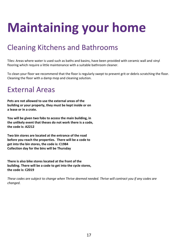# **Maintaining your home**

## Cleaning Kitchens and Bathrooms

Tiles: Areas where water is used such as baths and basins, have been provided with ceramic wall and vinyl flooring which require a little maintenance with a suitable bathroom cleaner.

To clean your floor we recommend that the floor is regularly swept to prevent grit or debris scratching the floor. Cleaning the floor with a damp mop and cleaning solution.

### External Areas

**Pets are not allowed to use the external areas of the building or your property, they must be kept inside or on a lease or in a crate.**

**You will be given two fobs to access the main building, in the unlikely event that theses do not work there is a code, the code is: A2212**

**Two bin stores are located at the entrance of the road before you reach the properties. There will be a code to get into the bin stores, the code is: C1984 Collection day for the bins will be Thursday** 

**There is also bike stores located at the front of the building. There will be a code to get into the cycle stores, the code is: C2019**

*These codes are subject to change when Thrive deemed needed. Thrive will contract you if any codes are changed.*